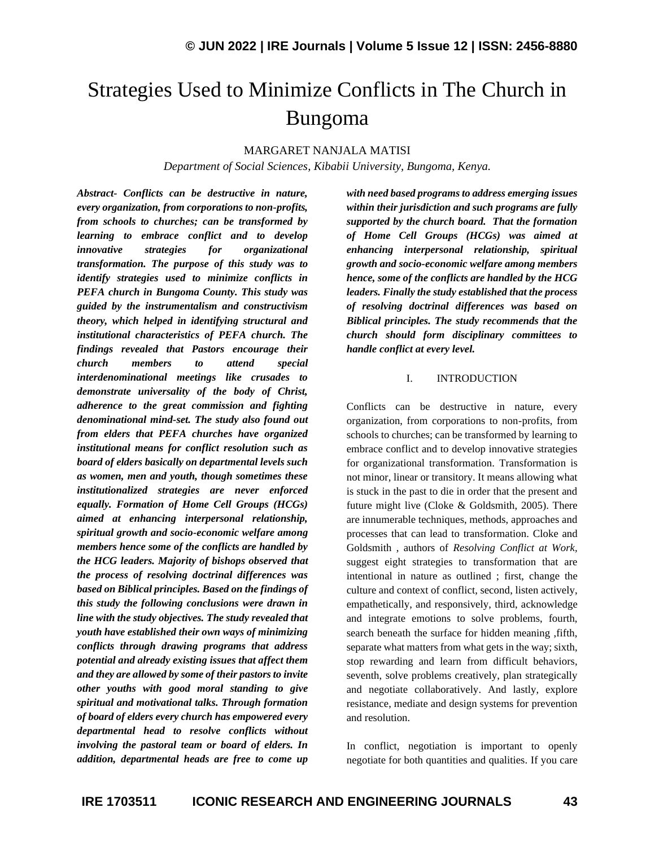# Strategies Used to Minimize Conflicts in The Church in Bungoma

#### MARGARET NANJALA MATISI

*Department of Social Sciences, Kibabii University, Bungoma, Kenya.*

*Abstract- Conflicts can be destructive in nature, every organization, from corporations to non-profits, from schools to churches; can be transformed by learning to embrace conflict and to develop innovative strategies for organizational transformation. The purpose of this study was to identify strategies used to minimize conflicts in PEFA church in Bungoma County. This study was guided by the instrumentalism and constructivism theory, which helped in identifying structural and institutional characteristics of PEFA church. The findings revealed that Pastors encourage their church members to attend special interdenominational meetings like crusades to demonstrate universality of the body of Christ, adherence to the great commission and fighting denominational mind-set. The study also found out from elders that PEFA churches have organized institutional means for conflict resolution such as board of elders basically on departmental levels such as women, men and youth, though sometimes these institutionalized strategies are never enforced equally. Formation of Home Cell Groups (HCGs) aimed at enhancing interpersonal relationship, spiritual growth and socio-economic welfare among members hence some of the conflicts are handled by the HCG leaders. Majority of bishops observed that the process of resolving doctrinal differences was based on Biblical principles. Based on the findings of this study the following conclusions were drawn in line with the study objectives. The study revealed that youth have established their own ways of minimizing conflicts through drawing programs that address potential and already existing issues that affect them and they are allowed by some of their pastors to invite other youths with good moral standing to give spiritual and motivational talks. Through formation of board of elders every church has empowered every departmental head to resolve conflicts without involving the pastoral team or board of elders. In addition, departmental heads are free to come up* 

*with need based programs to address emerging issues within their jurisdiction and such programs are fully supported by the church board. That the formation of Home Cell Groups (HCGs) was aimed at enhancing interpersonal relationship, spiritual growth and socio-economic welfare among members hence, some of the conflicts are handled by the HCG leaders. Finally the study established that the process of resolving doctrinal differences was based on Biblical principles. The study recommends that the church should form disciplinary committees to handle conflict at every level.*

#### I. INTRODUCTION

Conflicts can be destructive in nature, every organization, from corporations to non-profits, from schools to churches; can be transformed by learning to embrace conflict and to develop innovative strategies for organizational transformation. Transformation is not minor, linear or transitory. It means allowing what is stuck in the past to die in order that the present and future might live (Cloke & Goldsmith, 2005). There are innumerable techniques, methods, approaches and processes that can lead to transformation. Cloke and Goldsmith , authors of *Resolving Conflict at Work,*  suggest eight strategies to transformation that are intentional in nature as outlined ; first, change the culture and context of conflict, second, listen actively, empathetically, and responsively, third, acknowledge and integrate emotions to solve problems, fourth, search beneath the surface for hidden meaning ,fifth, separate what matters from what gets in the way; sixth, stop rewarding and learn from difficult behaviors, seventh, solve problems creatively, plan strategically and negotiate collaboratively. And lastly, explore resistance, mediate and design systems for prevention and resolution.

In conflict, negotiation is important to openly negotiate for both quantities and qualities. If you care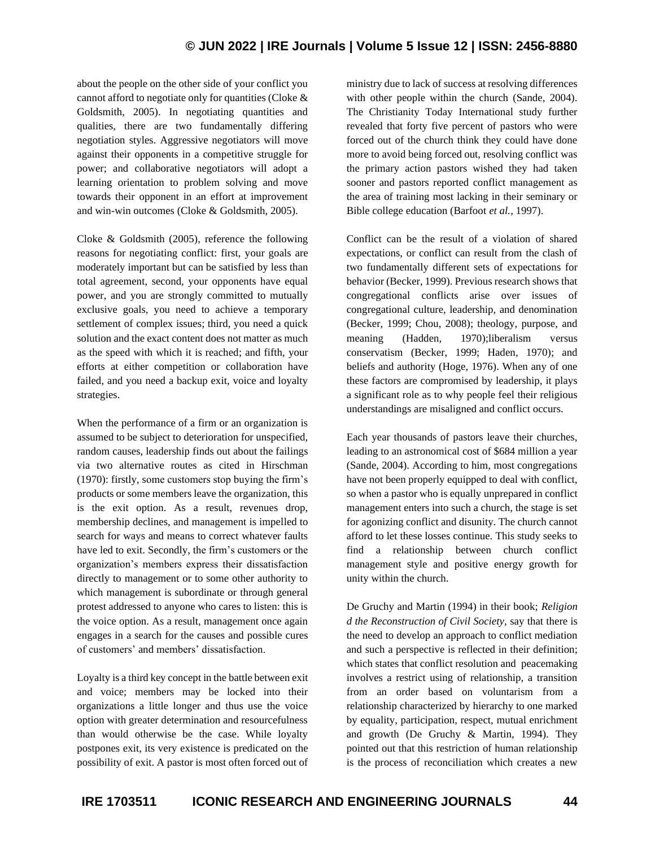# **© JUN 2022 | IRE Journals | Volume 5 Issue 12 | ISSN: 2456-8880**

about the people on the other side of your conflict you cannot afford to negotiate only for quantities (Cloke & Goldsmith, 2005). In negotiating quantities and qualities, there are two fundamentally differing negotiation styles. Aggressive negotiators will move against their opponents in a competitive struggle for power; and collaborative negotiators will adopt a learning orientation to problem solving and move towards their opponent in an effort at improvement and win-win outcomes (Cloke & Goldsmith, 2005).

Cloke & Goldsmith (2005), reference the following reasons for negotiating conflict: first, your goals are moderately important but can be satisfied by less than total agreement, second, your opponents have equal power, and you are strongly committed to mutually exclusive goals, you need to achieve a temporary settlement of complex issues; third, you need a quick solution and the exact content does not matter as much as the speed with which it is reached; and fifth, your efforts at either competition or collaboration have failed, and you need a backup exit, voice and loyalty strategies.

When the performance of a firm or an organization is assumed to be subject to deterioration for unspecified, random causes, leadership finds out about the failings via two alternative routes as cited in Hirschman (1970): firstly, some customers stop buying the firm's products or some members leave the organization, this is the exit option. As a result, revenues drop, membership declines, and management is impelled to search for ways and means to correct whatever faults have led to exit. Secondly, the firm's customers or the organization's members express their dissatisfaction directly to management or to some other authority to which management is subordinate or through general protest addressed to anyone who cares to listen: this is the voice option. As a result, management once again engages in a search for the causes and possible cures of customers' and members' dissatisfaction.

Loyalty is a third key concept in the battle between exit and voice; members may be locked into their organizations a little longer and thus use the voice option with greater determination and resourcefulness than would otherwise be the case. While loyalty postpones exit, its very existence is predicated on the possibility of exit. A pastor is most often forced out of ministry due to lack of success at resolving differences with other people within the church (Sande, 2004). The Christianity Today International study further revealed that forty five percent of pastors who were forced out of the church think they could have done more to avoid being forced out, resolving conflict was the primary action pastors wished they had taken sooner and pastors reported conflict management as the area of training most lacking in their seminary or Bible college education (Barfoot *et al.*, 1997).

Conflict can be the result of a violation of shared expectations, or conflict can result from the clash of two fundamentally different sets of expectations for behavior (Becker, 1999). Previous research shows that congregational conflicts arise over issues of congregational culture, leadership, and denomination (Becker, 1999; Chou, 2008); theology, purpose, and meaning (Hadden, 1970);liberalism versus conservatism (Becker, 1999; Haden, 1970); and beliefs and authority (Hoge, 1976). When any of one these factors are compromised by leadership, it plays a significant role as to why people feel their religious understandings are misaligned and conflict occurs.

Each year thousands of pastors leave their churches, leading to an astronomical cost of \$684 million a year (Sande, 2004). According to him, most congregations have not been properly equipped to deal with conflict, so when a pastor who is equally unprepared in conflict management enters into such a church, the stage is set for agonizing conflict and disunity. The church cannot afford to let these losses continue. This study seeks to find a relationship between church conflict management style and positive energy growth for unity within the church.

De Gruchy and Martin (1994) in their book; *Religion d the Reconstruction of Civil Society,* say that there is the need to develop an approach to conflict mediation and such a perspective is reflected in their definition; which states that conflict resolution and peacemaking involves a restrict using of relationship, a transition from an order based on voluntarism from a relationship characterized by hierarchy to one marked by equality, participation, respect, mutual enrichment and growth (De Gruchy & Martin, 1994). They pointed out that this restriction of human relationship is the process of reconciliation which creates a new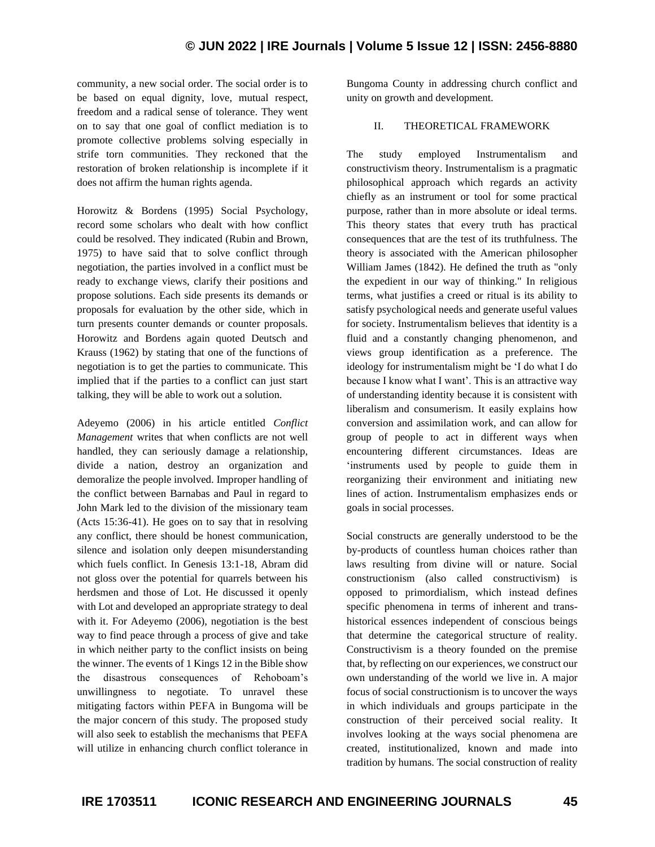community, a new social order. The social order is to be based on equal dignity, love, mutual respect, freedom and a radical sense of tolerance. They went on to say that one goal of conflict mediation is to promote collective problems solving especially in strife torn communities. They reckoned that the restoration of broken relationship is incomplete if it does not affirm the human rights agenda.

Horowitz & Bordens (1995) Social Psychology, record some scholars who dealt with how conflict could be resolved. They indicated (Rubin and Brown, 1975) to have said that to solve conflict through negotiation, the parties involved in a conflict must be ready to exchange views, clarify their positions and propose solutions. Each side presents its demands or proposals for evaluation by the other side, which in turn presents counter demands or counter proposals. Horowitz and Bordens again quoted Deutsch and Krauss (1962) by stating that one of the functions of negotiation is to get the parties to communicate. This implied that if the parties to a conflict can just start talking, they will be able to work out a solution.

Adeyemo (2006) in his article entitled *Conflict Management* writes that when conflicts are not well handled, they can seriously damage a relationship, divide a nation, destroy an organization and demoralize the people involved. Improper handling of the conflict between Barnabas and Paul in regard to John Mark led to the division of the missionary team (Acts 15:36-41). He goes on to say that in resolving any conflict, there should be honest communication, silence and isolation only deepen misunderstanding which fuels conflict. In Genesis 13:1-18, Abram did not gloss over the potential for quarrels between his herdsmen and those of Lot. He discussed it openly with Lot and developed an appropriate strategy to deal with it. For Adeyemo (2006), negotiation is the best way to find peace through a process of give and take in which neither party to the conflict insists on being the winner. The events of 1 Kings 12 in the Bible show the disastrous consequences of Rehoboam's unwillingness to negotiate. To unravel these mitigating factors within PEFA in Bungoma will be the major concern of this study. The proposed study will also seek to establish the mechanisms that PEFA will utilize in enhancing church conflict tolerance in Bungoma County in addressing church conflict and unity on growth and development.

#### II. THEORETICAL FRAMEWORK

The study employed Instrumentalism and constructivism theory. Instrumentalism is a pragmatic philosophical approach which regards an activity chiefly as an instrument or tool for some practical purpose, rather than in more absolute or ideal terms. This theory states that every truth has practical consequences that are the test of its truthfulness. The theory is associated with the American philosopher William James (1842). He defined the truth as "only the expedient in our way of thinking." In religious terms, what justifies a creed or ritual is its ability to satisfy psychological needs and generate useful values for society. Instrumentalism believes that identity is a fluid and a constantly changing phenomenon, and views group identification as a preference. The ideology for instrumentalism might be 'I do what I do because I know what I want'. This is an attractive way of understanding identity because it is consistent with liberalism and consumerism. It easily explains how conversion and assimilation work, and can allow for group of people to act in different ways when encountering different circumstances. Ideas are 'instruments used by people to guide them in reorganizing their environment and initiating new lines of action. Instrumentalism emphasizes ends or goals in social processes.

Social constructs are generally understood to be the by-products of countless human choices rather than laws resulting from divine will or nature. Social constructionism (also called constructivism) is opposed to primordialism, which instead defines specific phenomena in terms of inherent and transhistorical essences independent of conscious beings that determine the categorical structure of reality. Constructivism is a theory founded on the premise that, by reflecting on our experiences, we construct our own understanding of the world we live in. A major focus of social constructionism is to uncover the ways in which individuals and groups participate in the construction of their perceived social reality. It involves looking at the ways social phenomena are created, institutionalized, known and made into tradition by humans. The social construction of reality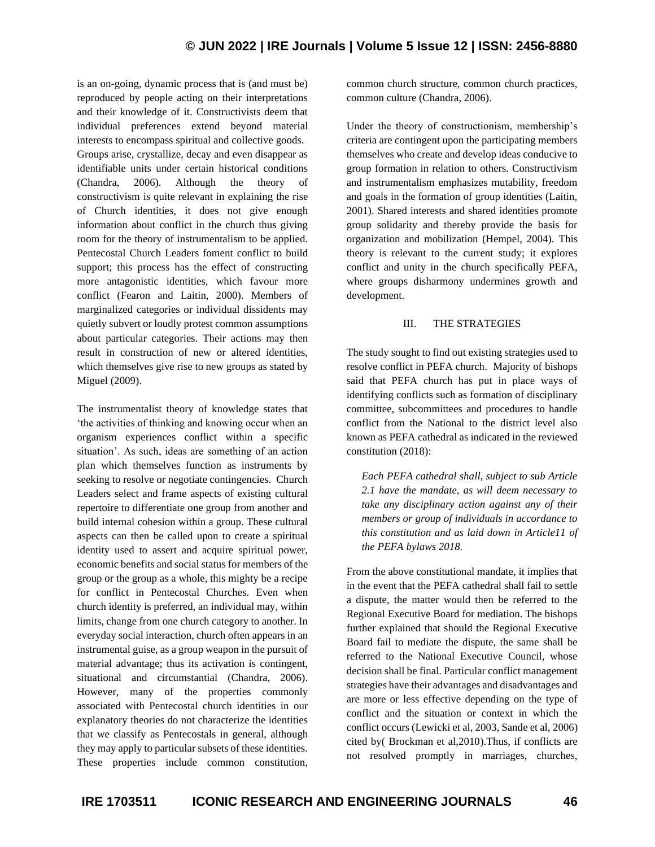is an on-going, dynamic process that is (and must be) reproduced by people acting on their interpretations and their knowledge of it. Constructivists deem that individual preferences extend beyond material interests to encompass spiritual and collective goods. Groups arise, crystallize, decay and even disappear as identifiable units under certain historical conditions (Chandra, 2006). Although the theory of constructivism is quite relevant in explaining the rise of Church identities, it does not give enough information about conflict in the church thus giving room for the theory of instrumentalism to be applied. Pentecostal Church Leaders foment conflict to build support; this process has the effect of constructing more antagonistic identities, which favour more conflict (Fearon and Laitin, 2000). Members of marginalized categories or individual dissidents may quietly subvert or loudly protest common assumptions about particular categories. Their actions may then result in construction of new or altered identities, which themselves give rise to new groups as stated by Miguel (2009).

The instrumentalist theory of knowledge states that 'the activities of thinking and knowing occur when an organism experiences conflict within a specific situation'. As such, ideas are something of an action plan which themselves function as instruments by seeking to resolve or negotiate contingencies. Church Leaders select and frame aspects of existing cultural repertoire to differentiate one group from another and build internal cohesion within a group. These cultural aspects can then be called upon to create a spiritual identity used to assert and acquire spiritual power, economic benefits and social status for members of the group or the group as a whole, this mighty be a recipe for conflict in Pentecostal Churches. Even when church identity is preferred, an individual may, within limits, change from one church category to another. In everyday social interaction, church often appears in an instrumental guise, as a group weapon in the pursuit of material advantage; thus its activation is contingent, situational and circumstantial (Chandra, 2006). However, many of the properties commonly associated with Pentecostal church identities in our explanatory theories do not characterize the identities that we classify as Pentecostals in general, although they may apply to particular subsets of these identities. These properties include common constitution,

common church structure, common church practices, common culture (Chandra, 2006).

Under the theory of constructionism, membership's criteria are contingent upon the participating members themselves who create and develop ideas conducive to group formation in relation to others. Constructivism and instrumentalism emphasizes mutability, freedom and goals in the formation of group identities (Laitin, 2001). Shared interests and shared identities promote group solidarity and thereby provide the basis for organization and mobilization (Hempel, 2004). This theory is relevant to the current study; it explores conflict and unity in the church specifically PEFA, where groups disharmony undermines growth and development.

#### III. THE STRATEGIES

The study sought to find out existing strategies used to resolve conflict in PEFA church. Majority of bishops said that PEFA church has put in place ways of identifying conflicts such as formation of disciplinary committee, subcommittees and procedures to handle conflict from the National to the district level also known as PEFA cathedral as indicated in the reviewed constitution (2018):

*Each PEFA cathedral shall, subject to sub Article 2.1 have the mandate, as will deem necessary to take any disciplinary action against any of their members or group of individuals in accordance to this constitution and as laid down in Article11 of the PEFA bylaws 2018.*

From the above constitutional mandate, it implies that in the event that the PEFA cathedral shall fail to settle a dispute, the matter would then be referred to the Regional Executive Board for mediation. The bishops further explained that should the Regional Executive Board fail to mediate the dispute, the same shall be referred to the National Executive Council, whose decision shall be final. Particular conflict management strategies have their advantages and disadvantages and are more or less effective depending on the type of conflict and the situation or context in which the conflict occurs (Lewicki et al, 2003, Sande et al, 2006) cited by( Brockman et al,2010).Thus, if conflicts are not resolved promptly in marriages, churches,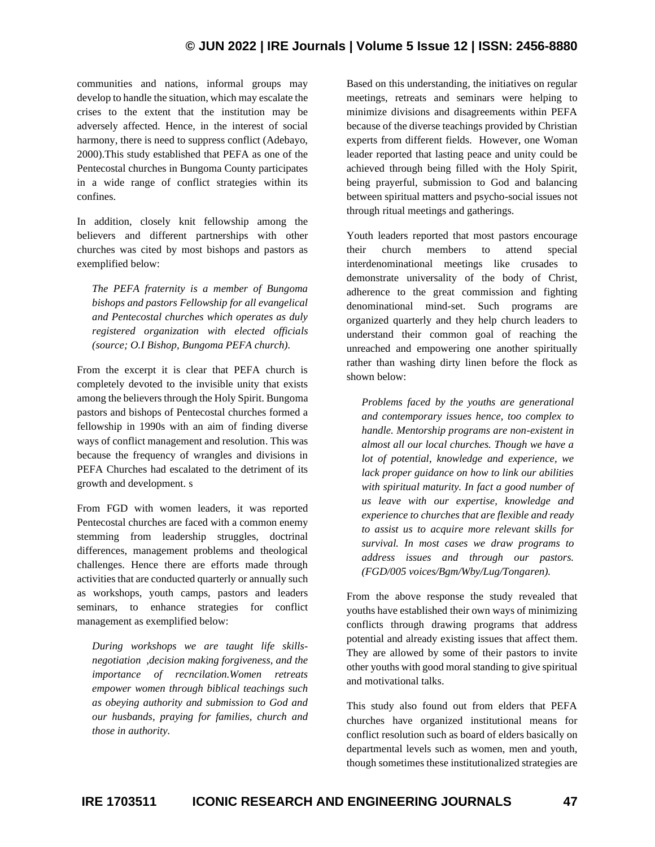communities and nations, informal groups may develop to handle the situation, which may escalate the crises to the extent that the institution may be adversely affected. Hence, in the interest of social harmony, there is need to suppress conflict (Adebayo, 2000).This study established that PEFA as one of the Pentecostal churches in Bungoma County participates in a wide range of conflict strategies within its confines.

In addition, closely knit fellowship among the believers and different partnerships with other churches was cited by most bishops and pastors as exemplified below:

*The PEFA fraternity is a member of Bungoma bishops and pastors Fellowship for all evangelical and Pentecostal churches which operates as duly registered organization with elected officials (source; O.I Bishop, Bungoma PEFA church).*

From the excerpt it is clear that PEFA church is completely devoted to the invisible unity that exists among the believers through the Holy Spirit. Bungoma pastors and bishops of Pentecostal churches formed a fellowship in 1990s with an aim of finding diverse ways of conflict management and resolution. This was because the frequency of wrangles and divisions in PEFA Churches had escalated to the detriment of its growth and development. s

From FGD with women leaders, it was reported Pentecostal churches are faced with a common enemy stemming from leadership struggles, doctrinal differences, management problems and theological challenges. Hence there are efforts made through activities that are conducted quarterly or annually such as workshops, youth camps, pastors and leaders seminars, to enhance strategies for conflict management as exemplified below:

*During workshops we are taught life skillsnegotiation ,decision making forgiveness, and the importance of recncilation.Women retreats empower women through biblical teachings such as obeying authority and submission to God and our husbands, praying for families, church and those in authority.*

Based on this understanding, the initiatives on regular meetings, retreats and seminars were helping to minimize divisions and disagreements within PEFA because of the diverse teachings provided by Christian experts from different fields. However, one Woman leader reported that lasting peace and unity could be achieved through being filled with the Holy Spirit, being prayerful, submission to God and balancing between spiritual matters and psycho-social issues not through ritual meetings and gatherings.

Youth leaders reported that most pastors encourage their church members to attend special interdenominational meetings like crusades to demonstrate universality of the body of Christ, adherence to the great commission and fighting denominational mind-set. Such programs are organized quarterly and they help church leaders to understand their common goal of reaching the unreached and empowering one another spiritually rather than washing dirty linen before the flock as shown below:

*Problems faced by the youths are generational and contemporary issues hence, too complex to handle. Mentorship programs are non-existent in almost all our local churches. Though we have a lot of potential*, *knowledge and experience, we lack proper guidance on how to link our abilities with spiritual maturity. In fact a good number of us leave with our expertise, knowledge and experience to churches that are flexible and ready to assist us to acquire more relevant skills for survival. In most cases we draw programs to address issues and through our pastors. (FGD/005 voices/Bgm/Wby/Lug/Tongaren).*

From the above response the study revealed that youths have established their own ways of minimizing conflicts through drawing programs that address potential and already existing issues that affect them. They are allowed by some of their pastors to invite other youths with good moral standing to give spiritual and motivational talks.

This study also found out from elders that PEFA churches have organized institutional means for conflict resolution such as board of elders basically on departmental levels such as women, men and youth, though sometimes these institutionalized strategies are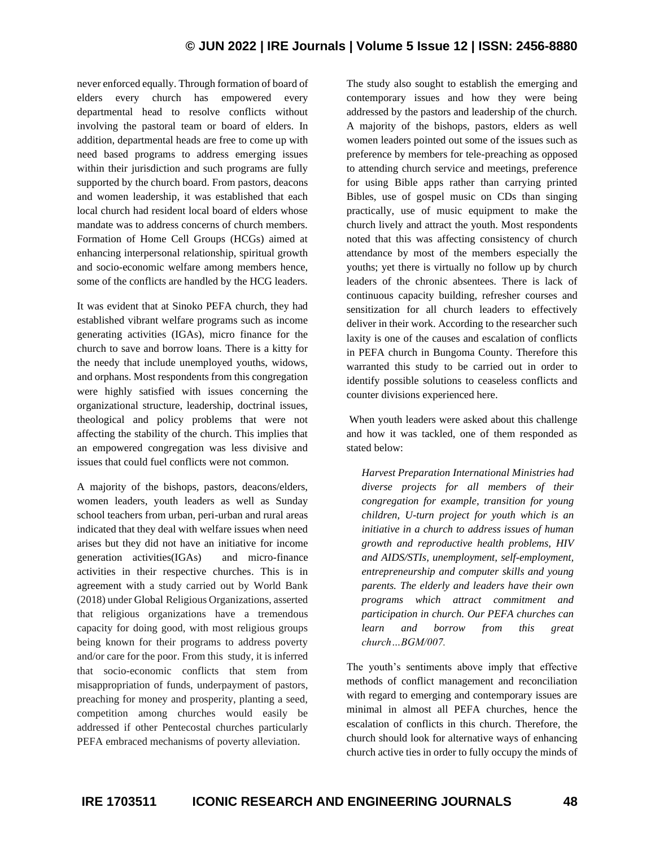never enforced equally. Through formation of board of elders every church has empowered every departmental head to resolve conflicts without involving the pastoral team or board of elders. In addition, departmental heads are free to come up with need based programs to address emerging issues within their jurisdiction and such programs are fully supported by the church board. From pastors, deacons and women leadership, it was established that each local church had resident local board of elders whose mandate was to address concerns of church members. Formation of Home Cell Groups (HCGs) aimed at enhancing interpersonal relationship, spiritual growth and socio-economic welfare among members hence, some of the conflicts are handled by the HCG leaders.

It was evident that at Sinoko PEFA church, they had established vibrant welfare programs such as income generating activities (IGAs), micro finance for the church to save and borrow loans. There is a kitty for the needy that include unemployed youths, widows, and orphans. Most respondents from this congregation were highly satisfied with issues concerning the organizational structure, leadership, doctrinal issues, theological and policy problems that were not affecting the stability of the church. This implies that an empowered congregation was less divisive and issues that could fuel conflicts were not common.

A majority of the bishops, pastors, deacons/elders, women leaders, youth leaders as well as Sunday school teachers from urban, peri-urban and rural areas indicated that they deal with welfare issues when need arises but they did not have an initiative for income generation activities(IGAs) and micro-finance activities in their respective churches. This is in agreement with a study carried out by World Bank (2018) under Global Religious Organizations, asserted that religious organizations have a tremendous capacity for doing good, with most religious groups being known for their programs to address poverty and/or care for the poor. From this study, it is inferred that socio-economic conflicts that stem from misappropriation of funds, underpayment of pastors, preaching for money and prosperity, planting a seed, competition among churches would easily be addressed if other Pentecostal churches particularly PEFA embraced mechanisms of poverty alleviation.

The study also sought to establish the emerging and contemporary issues and how they were being addressed by the pastors and leadership of the church. A majority of the bishops, pastors, elders as well women leaders pointed out some of the issues such as preference by members for tele-preaching as opposed to attending church service and meetings, preference for using Bible apps rather than carrying printed Bibles, use of gospel music on CDs than singing practically, use of music equipment to make the church lively and attract the youth. Most respondents noted that this was affecting consistency of church attendance by most of the members especially the youths; yet there is virtually no follow up by church leaders of the chronic absentees. There is lack of continuous capacity building, refresher courses and sensitization for all church leaders to effectively deliver in their work. According to the researcher such laxity is one of the causes and escalation of conflicts in PEFA church in Bungoma County. Therefore this warranted this study to be carried out in order to identify possible solutions to ceaseless conflicts and counter divisions experienced here.

When youth leaders were asked about this challenge and how it was tackled, one of them responded as stated below:

*Harvest Preparation International Ministries had diverse projects for all members of their congregation for example, transition for young children, U-turn project for youth which is an initiative in a church to address issues of human growth and reproductive health problems, HIV and AIDS/STIs, unemployment, self-employment, entrepreneurship and computer skills and young parents. The elderly and leaders have their own programs which attract commitment and participation in church. Our PEFA churches can learn and borrow from this great church…BGM/007.*

The youth's sentiments above imply that effective methods of conflict management and reconciliation with regard to emerging and contemporary issues are minimal in almost all PEFA churches, hence the escalation of conflicts in this church. Therefore, the church should look for alternative ways of enhancing church active ties in order to fully occupy the minds of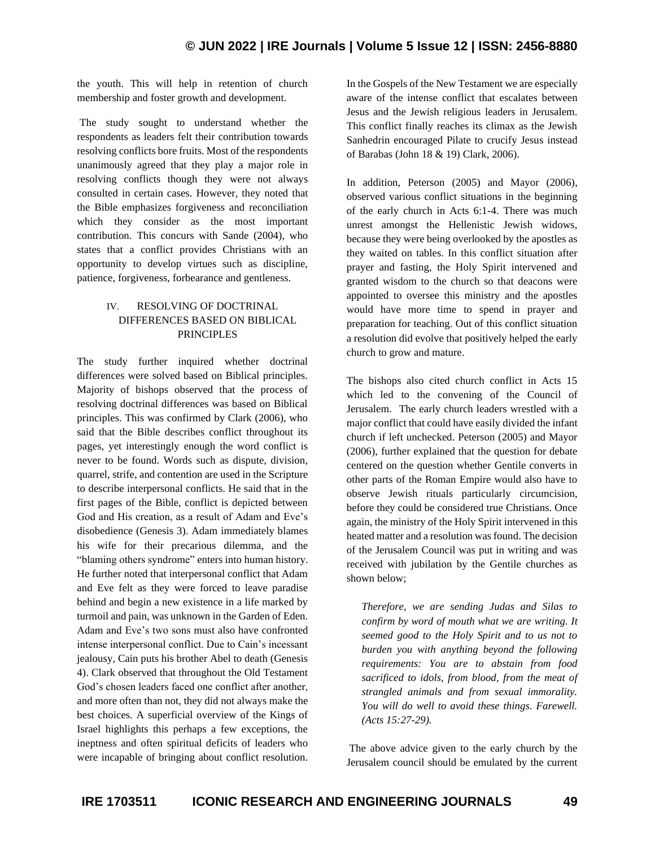the youth. This will help in retention of church membership and foster growth and development.

The study sought to understand whether the respondents as leaders felt their contribution towards resolving conflicts bore fruits. Most of the respondents unanimously agreed that they play a major role in resolving conflicts though they were not always consulted in certain cases. However, they noted that the Bible emphasizes forgiveness and reconciliation which they consider as the most important contribution. This concurs with Sande (2004), who states that a conflict provides Christians with an opportunity to develop virtues such as discipline, patience, forgiveness, forbearance and gentleness.

## IV. RESOLVING OF DOCTRINAL DIFFERENCES BASED ON BIBLICAL PRINCIPLES

The study further inquired whether doctrinal differences were solved based on Biblical principles. Majority of bishops observed that the process of resolving doctrinal differences was based on Biblical principles. This was confirmed by Clark (2006), who said that the Bible describes conflict throughout its pages, yet interestingly enough the word conflict is never to be found. Words such as dispute, division, quarrel, strife, and contention are used in the Scripture to describe interpersonal conflicts. He said that in the first pages of the Bible, conflict is depicted between God and His creation, as a result of Adam and Eve's disobedience (Genesis 3). Adam immediately blames his wife for their precarious dilemma, and the "blaming others syndrome" enters into human history. He further noted that interpersonal conflict that Adam and Eve felt as they were forced to leave paradise behind and begin a new existence in a life marked by turmoil and pain, was unknown in the Garden of Eden. Adam and Eve's two sons must also have confronted intense interpersonal conflict. Due to Cain's incessant jealousy, Cain puts his brother Abel to death (Genesis 4). Clark observed that throughout the Old Testament God's chosen leaders faced one conflict after another, and more often than not, they did not always make the best choices. A superficial overview of the Kings of Israel highlights this perhaps a few exceptions, the ineptness and often spiritual deficits of leaders who were incapable of bringing about conflict resolution. In the Gospels of the New Testament we are especially aware of the intense conflict that escalates between Jesus and the Jewish religious leaders in Jerusalem. This conflict finally reaches its climax as the Jewish Sanhedrin encouraged Pilate to crucify Jesus instead of Barabas (John 18 & 19) Clark, 2006).

In addition, Peterson (2005) and Mayor (2006), observed various conflict situations in the beginning of the early church in Acts 6:1-4. There was much unrest amongst the Hellenistic Jewish widows, because they were being overlooked by the apostles as they waited on tables. In this conflict situation after prayer and fasting, the Holy Spirit intervened and granted wisdom to the church so that deacons were appointed to oversee this ministry and the apostles would have more time to spend in prayer and preparation for teaching. Out of this conflict situation a resolution did evolve that positively helped the early church to grow and mature.

The bishops also cited church conflict in Acts 15 which led to the convening of the Council of Jerusalem. The early church leaders wrestled with a major conflict that could have easily divided the infant church if left unchecked. Peterson (2005) and Mayor (2006), further explained that the question for debate centered on the question whether Gentile converts in other parts of the Roman Empire would also have to observe Jewish rituals particularly circumcision, before they could be considered true Christians. Once again, the ministry of the Holy Spirit intervened in this heated matter and a resolution was found. The decision of the Jerusalem Council was put in writing and was received with jubilation by the Gentile churches as shown below;

*Therefore, we are sending Judas and Silas to confirm by word of mouth what we are writing. It seemed good to the Holy Spirit and to us not to burden you with anything beyond the following requirements: You are to abstain from food sacrificed to idols, from blood, from the meat of strangled animals and from sexual immorality. You will do well to avoid these things. Farewell. (Acts 15:27-29).*

The above advice given to the early church by the Jerusalem council should be emulated by the current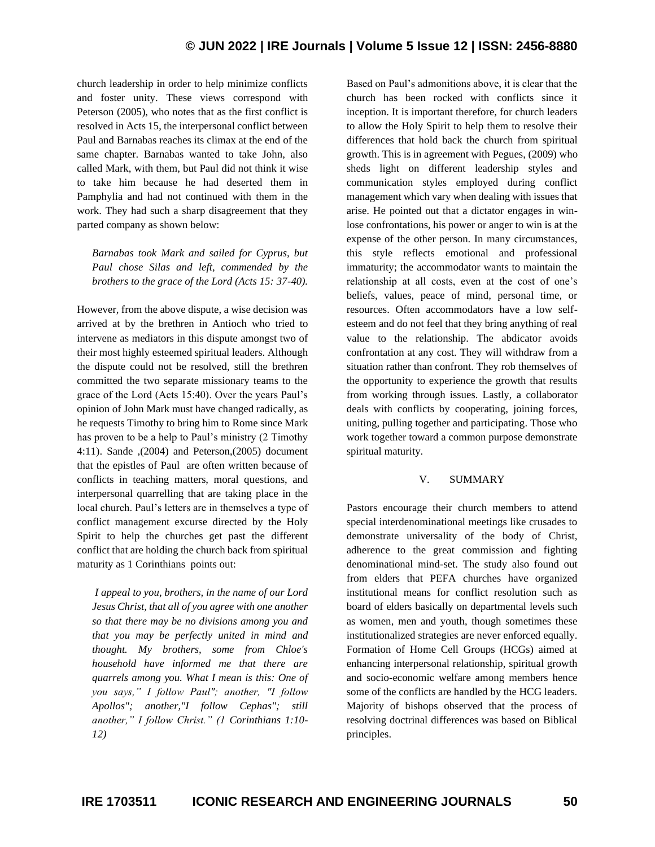church leadership in order to help minimize conflicts and foster unity. These views correspond with Peterson (2005), who notes that as the first conflict is resolved in Acts 15, the interpersonal conflict between Paul and Barnabas reaches its climax at the end of the same chapter. Barnabas wanted to take John, also called Mark, with them, but Paul did not think it wise to take him because he had deserted them in Pamphylia and had not continued with them in the work. They had such a sharp disagreement that they parted company as shown below:

*Barnabas took Mark and sailed for Cyprus, but Paul chose Silas and left, commended by the brothers to the grace of the Lord (Acts 15: 37-40).*

However, from the above dispute, a wise decision was arrived at by the brethren in Antioch who tried to intervene as mediators in this dispute amongst two of their most highly esteemed spiritual leaders. Although the dispute could not be resolved, still the brethren committed the two separate missionary teams to the grace of the Lord (Acts 15:40). Over the years Paul's opinion of John Mark must have changed radically, as he requests Timothy to bring him to Rome since Mark has proven to be a help to Paul's ministry (2 Timothy 4:11). Sande ,(2004) and Peterson,(2005) document that the epistles of Paul are often written because of conflicts in teaching matters, moral questions, and interpersonal quarrelling that are taking place in the local church. Paul's letters are in themselves a type of conflict management excurse directed by the Holy Spirit to help the churches get past the different conflict that are holding the church back from spiritual maturity as 1 Corinthians points out:

*I appeal to you, brothers, in the name of our Lord Jesus Christ, that all of you agree with one another so that there may be no divisions among you and that you may be perfectly united in mind and thought. My brothers, some from Chloe's household have informed me that there are quarrels among you. What I mean is this: One of you says," I follow Paul"; another, "I follow Apollos"; another,"I follow Cephas"; still another," I follow Christ." (1 Corinthians 1:10- 12)*

Based on Paul's admonitions above, it is clear that the church has been rocked with conflicts since it inception. It is important therefore, for church leaders to allow the Holy Spirit to help them to resolve their differences that hold back the church from spiritual growth. This is in agreement with Pegues, (2009) who sheds light on different leadership styles and communication styles employed during conflict management which vary when dealing with issues that arise. He pointed out that a dictator engages in winlose confrontations, his power or anger to win is at the expense of the other person. In many circumstances, this style reflects emotional and professional immaturity; the accommodator wants to maintain the relationship at all costs, even at the cost of one's beliefs, values, peace of mind, personal time, or resources. Often accommodators have a low selfesteem and do not feel that they bring anything of real value to the relationship. The abdicator avoids confrontation at any cost. They will withdraw from a situation rather than confront. They rob themselves of the opportunity to experience the growth that results from working through issues. Lastly, a collaborator deals with conflicts by cooperating, joining forces, uniting, pulling together and participating. Those who work together toward a common purpose demonstrate spiritual maturity.

#### V. SUMMARY

Pastors encourage their church members to attend special interdenominational meetings like crusades to demonstrate universality of the body of Christ, adherence to the great commission and fighting denominational mind-set. The study also found out from elders that PEFA churches have organized institutional means for conflict resolution such as board of elders basically on departmental levels such as women, men and youth, though sometimes these institutionalized strategies are never enforced equally. Formation of Home Cell Groups (HCGs) aimed at enhancing interpersonal relationship, spiritual growth and socio-economic welfare among members hence some of the conflicts are handled by the HCG leaders. Majority of bishops observed that the process of resolving doctrinal differences was based on Biblical principles.